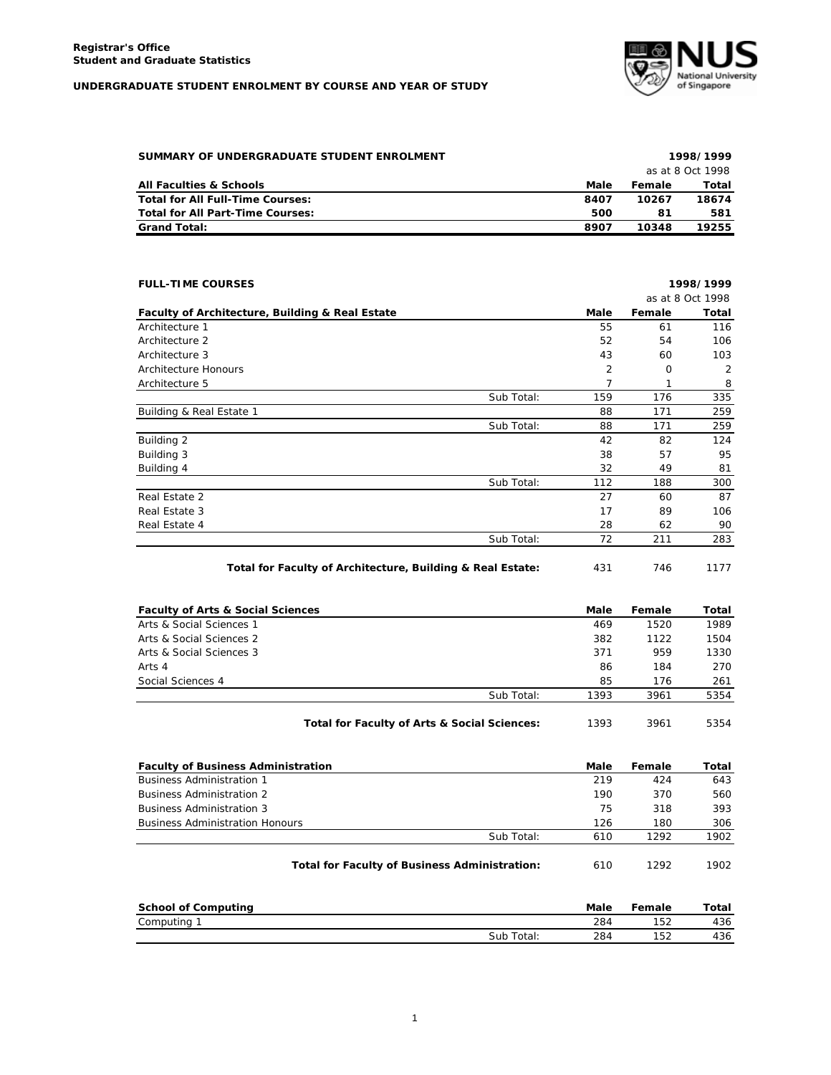## **UNDERGRADUATE STUDENT ENROLMENT BY COURSE AND YEAR OF STUDY**



| SUMMARY OF UNDERGRADUATE STUDENT ENROLMENT |                  | 1998/1999 |       |  |  |
|--------------------------------------------|------------------|-----------|-------|--|--|
|                                            | as at 8 Oct 1998 |           |       |  |  |
| <b>All Faculties &amp; Schools</b>         | Male             | Female    | Total |  |  |
| Total for All Full-Time Courses:           | 8407             | 10267     | 18674 |  |  |
| Total for All Part-Time Courses:           | 500              | 81        | 581   |  |  |
| <b>Grand Total:</b>                        | 8907             | 10348     | 19255 |  |  |

| <b>FULL-TIME COURSES</b>                                   |            |      |        | 1998/1999        |
|------------------------------------------------------------|------------|------|--------|------------------|
|                                                            |            |      |        | as at 8 Oct 1998 |
| Faculty of Architecture, Building & Real Estate            |            | Male | Female | Total            |
| Architecture 1                                             |            | 55   | 61     | 116              |
| Architecture 2                                             |            | 52   | 54     | 106              |
| Architecture 3                                             |            | 43   | 60     | 103              |
| Architecture Honours                                       |            | 2    | 0      | 2                |
| Architecture 5                                             |            | 7    | 1      | 8                |
|                                                            | Sub Total: | 159  | 176    | 335              |
| Building & Real Estate 1                                   |            | 88   | 171    | 259              |
|                                                            | Sub Total: | 88   | 171    | 259              |
| Building 2                                                 |            | 42   | 82     | 124              |
| Building 3                                                 |            | 38   | 57     | 95               |
| Building 4                                                 |            | 32   | 49     | 81               |
|                                                            | Sub Total: | 112  | 188    | 300              |
| Real Estate 2                                              |            | 27   | 60     | 87               |
| Real Estate 3                                              |            | 17   | 89     | 106              |
| Real Estate 4                                              |            | 28   | 62     | 90               |
|                                                            | Sub Total: | 72   | 211    | 283              |
| Total for Faculty of Architecture, Building & Real Estate: |            | 431  | 746    | 1177             |

| <b>Faculty of Arts &amp; Social Sciences</b> |                                              | Male | Female | Total |
|----------------------------------------------|----------------------------------------------|------|--------|-------|
| Arts & Social Sciences 1                     |                                              | 469  | 1520   | 1989  |
| Arts & Social Sciences 2                     |                                              | 382  | 1122   | 1504  |
| Arts & Social Sciences 3                     |                                              | 371  | 959    | 1330  |
| Arts 4                                       |                                              | 86   | 184    | 270   |
| Social Sciences 4                            |                                              | 85   | 176    | 261   |
|                                              | Sub Total:                                   | 1393 | 3961   | 5354  |
|                                              | Total for Faculty of Arts & Social Sciences: | 1393 | 3961   | 5354  |

| <b>Faculty of Business Administration</b>            | Male | Female | Total |
|------------------------------------------------------|------|--------|-------|
| <b>Business Administration 1</b>                     | 219  | 424    | 643   |
| <b>Business Administration 2</b>                     | 190  | 370    | 560   |
| <b>Business Administration 3</b>                     | 75   | 318    | 393   |
| <b>Business Administration Honours</b>               | 126  | 180    | 306   |
| Sub Total:                                           | 610  | 1292   | 1902  |
| <b>Total for Faculty of Business Administration:</b> | 610  | 1292   | 1902  |

| School of Computing |            | Male | Female | Total |
|---------------------|------------|------|--------|-------|
| Computing           |            | 284  | 152    | 436   |
|                     | Sub Total: | 284  | 152    | 436   |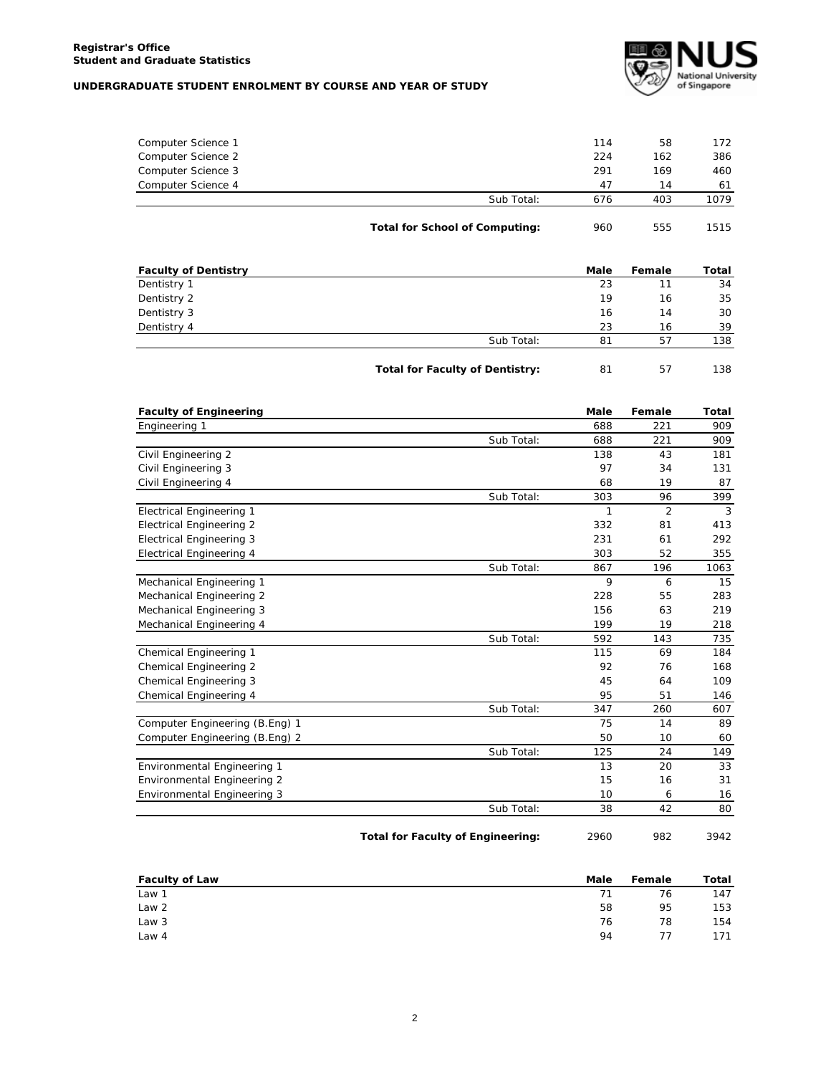## **UNDERGRADUATE STUDENT ENROLMENT BY COURSE AND YEAR OF STUDY**



| 676 | 403 | 1079 |
|-----|-----|------|
| 47  | 14  | 61   |
| 291 | 169 | 460  |
| 224 | 162 | 386  |
| 114 | 58  | 172  |
|     |     |      |

| <b>Faculty of Dentistry</b> |                                        | <b>Male</b> | Female | Total |
|-----------------------------|----------------------------------------|-------------|--------|-------|
| Dentistry 1                 |                                        | 23          | 11     | 34    |
| Dentistry 2                 |                                        | 19          | 16     | 35    |
| Dentistry 3                 |                                        | 16          | 14     | 30    |
| Dentistry 4                 |                                        | 23          | 16     | 39    |
|                             | Sub Total:                             | 81          | 57     | 138   |
|                             | <b>Total for Faculty of Dentistry:</b> | 81          | 57     | 138   |

| <b>Faculty of Engineering</b>      |            | <b>Male</b> | Female         | Total |
|------------------------------------|------------|-------------|----------------|-------|
| Engineering 1                      |            | 688         | 221            | 909   |
|                                    | Sub Total: | 688         | 221            | 909   |
| Civil Engineering 2                |            | 138         | 43             | 181   |
| Civil Engineering 3                |            | 97          | 34             | 131   |
| Civil Engineering 4                |            | 68          | 19             | 87    |
|                                    | Sub Total: | 303         | 96             | 399   |
| <b>Electrical Engineering 1</b>    |            | 1           | $\overline{2}$ | 3     |
| <b>Electrical Engineering 2</b>    |            | 332         | 81             | 413   |
| <b>Electrical Engineering 3</b>    |            | 231         | 61             | 292   |
| <b>Electrical Engineering 4</b>    |            | 303         | 52             | 355   |
|                                    | Sub Total: | 867         | 196            | 1063  |
| Mechanical Engineering 1           |            | 9           | 6              | 15    |
| Mechanical Engineering 2           |            | 228         | 55             | 283   |
| Mechanical Engineering 3           |            | 156         | 63             | 219   |
| Mechanical Engineering 4           |            | 199         | 19             | 218   |
|                                    | Sub Total: | 592         | 143            | 735   |
| Chemical Engineering 1             |            | 115         | 69             | 184   |
| Chemical Engineering 2             |            | 92          | 76             | 168   |
| Chemical Engineering 3             |            | 45          | 64             | 109   |
| Chemical Engineering 4             |            | 95          | 51             | 146   |
|                                    | Sub Total: | 347         | 260            | 607   |
| Computer Engineering (B.Eng) 1     |            | 75          | 14             | 89    |
| Computer Engineering (B.Eng) 2     |            | 50          | 10             | 60    |
|                                    | Sub Total: | 125         | 24             | 149   |
| Environmental Engineering 1        |            | 13          | 20             | 33    |
| <b>Environmental Engineering 2</b> |            | 15          | 16             | 31    |
| Environmental Engineering 3        |            | 10          | 6              | 16    |
|                                    | Sub Total: | 38          | 42             | 80    |

Total for Faculty of Engineering: 2960 982 3942

| <b>Faculty of Law</b> | Male | Female | Total |
|-----------------------|------|--------|-------|
| Law 1                 | 71   | 76     | 147   |
| Law 2                 | 58   | 95     | 153   |
| Law 3                 | 76   | 78     | 154   |
| Law <sub>4</sub>      | 94   | 77     | 171   |